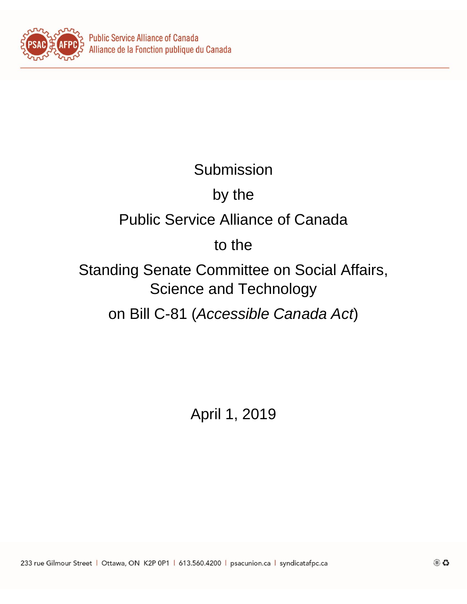

# Submission

# by the

### Public Service Alliance of Canada

### to the

Standing Senate Committee on Social Affairs, Science and Technology

on Bill C-81 (*Accessible Canada Act*)

April 1, 2019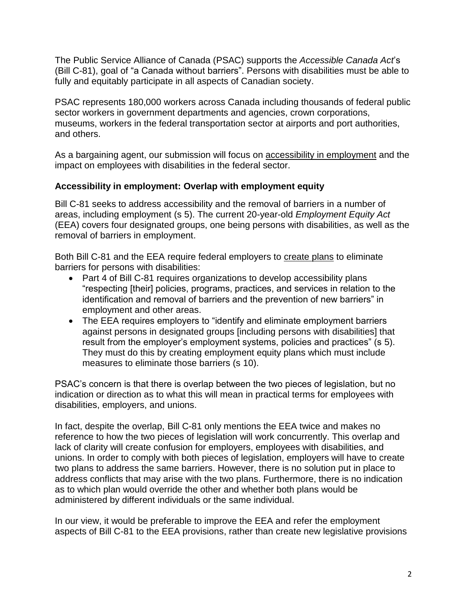The Public Service Alliance of Canada (PSAC) supports the *Accessible Canada Act*'s (Bill C-81), goal of "a Canada without barriers". Persons with disabilities must be able to fully and equitably participate in all aspects of Canadian society.

PSAC represents 180,000 workers across Canada including thousands of federal public sector workers in government departments and agencies, crown corporations, museums, workers in the federal transportation sector at airports and port authorities, and others.

As a bargaining agent, our submission will focus on accessibility in employment and the impact on employees with disabilities in the federal sector.

#### **Accessibility in employment: Overlap with employment equity**

Bill C-81 seeks to address accessibility and the removal of barriers in a number of areas, including employment (s 5). The current 20-year-old *Employment Equity Act* (EEA) covers four designated groups, one being persons with disabilities, as well as the removal of barriers in employment.

Both Bill C-81 and the EEA require federal employers to create plans to eliminate barriers for persons with disabilities:

- Part 4 of Bill C-81 requires organizations to develop accessibility plans "respecting [their] policies, programs, practices, and services in relation to the identification and removal of barriers and the prevention of new barriers" in employment and other areas.
- The EEA requires employers to "identify and eliminate employment barriers against persons in designated groups [including persons with disabilities] that result from the employer's employment systems, policies and practices" (s 5). They must do this by creating employment equity plans which must include measures to eliminate those barriers (s 10).

PSAC's concern is that there is overlap between the two pieces of legislation, but no indication or direction as to what this will mean in practical terms for employees with disabilities, employers, and unions.

In fact, despite the overlap, Bill C-81 only mentions the EEA twice and makes no reference to how the two pieces of legislation will work concurrently. This overlap and lack of clarity will create confusion for employers, employees with disabilities, and unions. In order to comply with both pieces of legislation, employers will have to create two plans to address the same barriers. However, there is no solution put in place to address conflicts that may arise with the two plans. Furthermore, there is no indication as to which plan would override the other and whether both plans would be administered by different individuals or the same individual.

In our view, it would be preferable to improve the EEA and refer the employment aspects of Bill C-81 to the EEA provisions, rather than create new legislative provisions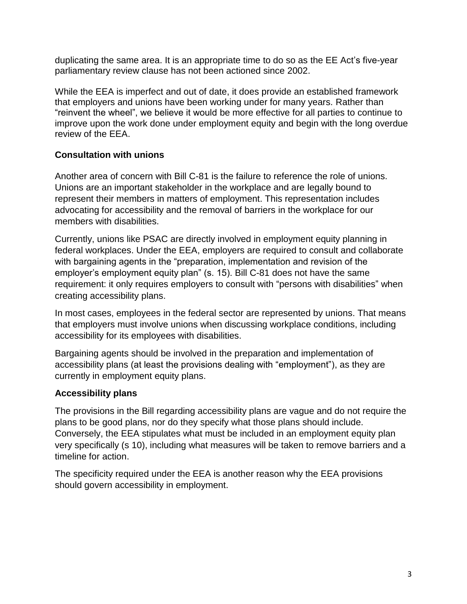duplicating the same area. It is an appropriate time to do so as the EE Act's five-year parliamentary review clause has not been actioned since 2002.

While the EEA is imperfect and out of date, it does provide an established framework that employers and unions have been working under for many years. Rather than "reinvent the wheel", we believe it would be more effective for all parties to continue to improve upon the work done under employment equity and begin with the long overdue review of the EEA.

### **Consultation with unions**

Another area of concern with Bill C-81 is the failure to reference the role of unions. Unions are an important stakeholder in the workplace and are legally bound to represent their members in matters of employment. This representation includes advocating for accessibility and the removal of barriers in the workplace for our members with disabilities.

Currently, unions like PSAC are directly involved in employment equity planning in federal workplaces. Under the EEA, employers are required to consult and collaborate with bargaining agents in the "preparation, implementation and revision of the employer's employment equity plan" (s. 15). Bill C-81 does not have the same requirement: it only requires employers to consult with "persons with disabilities" when creating accessibility plans.

In most cases, employees in the federal sector are represented by unions. That means that employers must involve unions when discussing workplace conditions, including accessibility for its employees with disabilities.

Bargaining agents should be involved in the preparation and implementation of accessibility plans (at least the provisions dealing with "employment"), as they are currently in employment equity plans.

#### **Accessibility plans**

The provisions in the Bill regarding accessibility plans are vague and do not require the plans to be good plans, nor do they specify what those plans should include. Conversely, the EEA stipulates what must be included in an employment equity plan very specifically (s 10), including what measures will be taken to remove barriers and a timeline for action.

The specificity required under the EEA is another reason why the EEA provisions should govern accessibility in employment.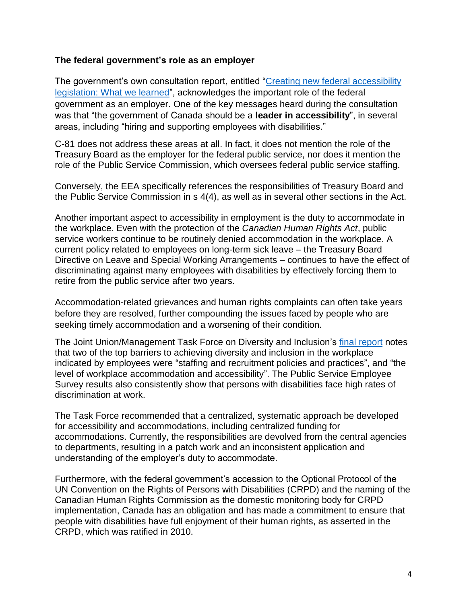#### **The federal government's role as an employer**

The government's own consultation report, entitled ["Creating new federal accessibility](https://www.canada.ca/en/employment-social-development/programs/accessible-people-disabilities/reports/consultations-what-we-learned.html)  [legislation: What we learned"](https://www.canada.ca/en/employment-social-development/programs/accessible-people-disabilities/reports/consultations-what-we-learned.html), acknowledges the important role of the federal government as an employer. One of the key messages heard during the consultation was that "the government of Canada should be a **leader in accessibility**", in several areas, including "hiring and supporting employees with disabilities."

C-81 does not address these areas at all. In fact, it does not mention the role of the Treasury Board as the employer for the federal public service, nor does it mention the role of the Public Service Commission, which oversees federal public service staffing.

Conversely, the EEA specifically references the responsibilities of Treasury Board and the Public Service Commission in s 4(4), as well as in several other sections in the Act.

Another important aspect to accessibility in employment is the duty to accommodate in the workplace. Even with the protection of the *Canadian Human Rights Act*, public service workers continue to be routinely denied accommodation in the workplace. A current policy related to employees on long-term sick leave – the Treasury Board Directive on Leave and Special Working Arrangements – continues to have the effect of discriminating against many employees with disabilities by effectively forcing them to retire from the public service after two years.

Accommodation-related grievances and human rights complaints can often take years before they are resolved, further compounding the issues faced by people who are seeking timely accommodation and a worsening of their condition.

The Joint Union/Management Task Force on Diversity and Inclusion's final [report](https://psacunionafpc-my.sharepoint.com/personal/pilona_psac-afpc_com/Documents/Bill%20C81/AIAC-Final-Report.pdf) notes that two of the top barriers to achieving diversity and inclusion in the workplace indicated by employees were "staffing and recruitment policies and practices", and "the level of workplace accommodation and accessibility". The Public Service Employee Survey results also consistently show that persons with disabilities face high rates of discrimination at work.

The Task Force recommended that a centralized, systematic approach be developed for accessibility and accommodations, including centralized funding for accommodations. Currently, the responsibilities are devolved from the central agencies to departments, resulting in a patch work and an inconsistent application and understanding of the employer's duty to accommodate.

Furthermore, with the federal government's accession to the Optional Protocol of the UN Convention on the Rights of Persons with Disabilities (CRPD) and the naming of the Canadian Human Rights Commission as the domestic monitoring body for CRPD implementation, Canada has an obligation and has made a commitment to ensure that people with disabilities have full enjoyment of their human rights, as asserted in the CRPD, which was ratified in 2010.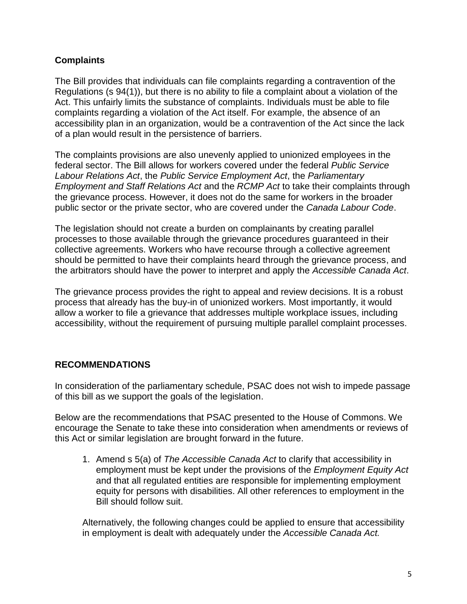#### **Complaints**

The Bill provides that individuals can file complaints regarding a contravention of the Regulations (s 94(1)), but there is no ability to file a complaint about a violation of the Act. This unfairly limits the substance of complaints. Individuals must be able to file complaints regarding a violation of the Act itself. For example, the absence of an accessibility plan in an organization, would be a contravention of the Act since the lack of a plan would result in the persistence of barriers.

The complaints provisions are also unevenly applied to unionized employees in the federal sector. The Bill allows for workers covered under the federal *Public Service Labour Relations Act*, the *Public Service Employment Act*, the *Parliamentary Employment and Staff Relations Act* and the *RCMP Act* to take their complaints through the grievance process. However, it does not do the same for workers in the broader public sector or the private sector, who are covered under the *Canada Labour Code*.

The legislation should not create a burden on complainants by creating parallel processes to those available through the grievance procedures guaranteed in their collective agreements. Workers who have recourse through a collective agreement should be permitted to have their complaints heard through the grievance process, and the arbitrators should have the power to interpret and apply the *Accessible Canada Act*.

The grievance process provides the right to appeal and review decisions. It is a robust process that already has the buy-in of unionized workers. Most importantly, it would allow a worker to file a grievance that addresses multiple workplace issues, including accessibility, without the requirement of pursuing multiple parallel complaint processes.

### **RECOMMENDATIONS**

In consideration of the parliamentary schedule, PSAC does not wish to impede passage of this bill as we support the goals of the legislation.

Below are the recommendations that PSAC presented to the House of Commons. We encourage the Senate to take these into consideration when amendments or reviews of this Act or similar legislation are brought forward in the future.

1. Amend s 5(a) of *The Accessible Canada Act* to clarify that accessibility in employment must be kept under the provisions of the *Employment Equity Act* and that all regulated entities are responsible for implementing employment equity for persons with disabilities. All other references to employment in the Bill should follow suit.

Alternatively, the following changes could be applied to ensure that accessibility in employment is dealt with adequately under the *Accessible Canada Act.*